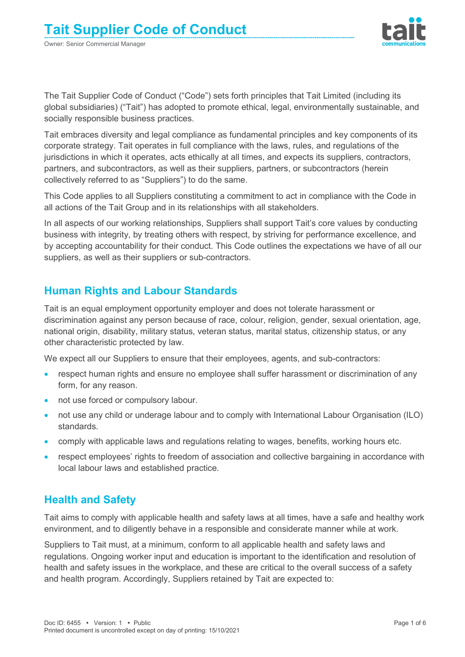

The Tait Supplier Code of Conduct ("Code") sets forth principles that Tait Limited (including its global subsidiaries) ("Tait") has adopted to promote ethical, legal, environmentally sustainable, and socially responsible business practices.

Tait embraces diversity and legal compliance as fundamental principles and key components of its corporate strategy. Tait operates in full compliance with the laws, rules, and regulations of the jurisdictions in which it operates, acts ethically at all times, and expects its suppliers, contractors, partners, and subcontractors, as well as their suppliers, partners, or subcontractors (herein collectively referred to as "Suppliers") to do the same.

This Code applies to all Suppliers constituting a commitment to act in compliance with the Code in all actions of the Tait Group and in its relationships with all stakeholders.

In all aspects of our working relationships, Suppliers shall support Tait's core values by conducting business with integrity, by treating others with respect, by striving for performance excellence, and by accepting accountability for their conduct. This Code outlines the expectations we have of all our suppliers, as well as their suppliers or sub-contractors.

# **Human Rights and Labour Standards**

Tait is an equal employment opportunity employer and does not tolerate harassment or discrimination against any person because of race, colour, religion, gender, sexual orientation, age, national origin, disability, military status, veteran status, marital status, citizenship status, or any other characteristic protected by law.

We expect all our Suppliers to ensure that their employees, agents, and sub-contractors:

- respect human rights and ensure no employee shall suffer harassment or discrimination of any form, for any reason.
- not use forced or compulsory labour.
- not use any child or underage labour and to comply with International Labour Organisation (ILO) standards.
- comply with applicable laws and regulations relating to wages, benefits, working hours etc.
- respect employees' rights to freedom of association and collective bargaining in accordance with local labour laws and established practice.

## **Health and Safety**

Tait aims to comply with applicable health and safety laws at all times, have a safe and healthy work environment, and to diligently behave in a responsible and considerate manner while at work.

Suppliers to Tait must, at a minimum, conform to all applicable health and safety laws and regulations. Ongoing worker input and education is important to the identification and resolution of health and safety issues in the workplace, and these are critical to the overall success of a safety and health program. Accordingly, Suppliers retained by Tait are expected to: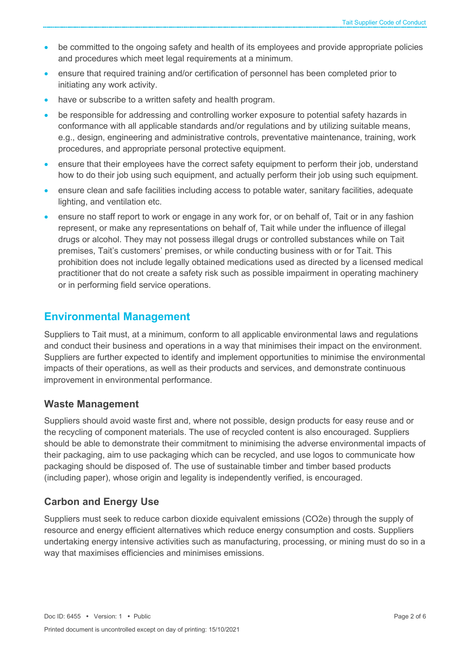- be committed to the ongoing safety and health of its employees and provide appropriate policies and procedures which meet legal requirements at a minimum.
- ensure that required training and/or certification of personnel has been completed prior to initiating any work activity.
- have or subscribe to a written safety and health program.
- be responsible for addressing and controlling worker exposure to potential safety hazards in conformance with all applicable standards and/or regulations and by utilizing suitable means, e.g., design, engineering and administrative controls, preventative maintenance, training, work procedures, and appropriate personal protective equipment.
- ensure that their employees have the correct safety equipment to perform their job, understand how to do their job using such equipment, and actually perform their job using such equipment.
- ensure clean and safe facilities including access to potable water, sanitary facilities, adequate lighting, and ventilation etc.
- ensure no staff report to work or engage in any work for, or on behalf of, Tait or in any fashion represent, or make any representations on behalf of, Tait while under the influence of illegal drugs or alcohol. They may not possess illegal drugs or controlled substances while on Tait premises, Tait's customers' premises, or while conducting business with or for Tait. This prohibition does not include legally obtained medications used as directed by a licensed medical practitioner that do not create a safety risk such as possible impairment in operating machinery or in performing field service operations.

## **Environmental Management**

Suppliers to Tait must, at a minimum, conform to all applicable environmental laws and regulations and conduct their business and operations in a way that minimises their impact on the environment. Suppliers are further expected to identify and implement opportunities to minimise the environmental impacts of their operations, as well as their products and services, and demonstrate continuous improvement in environmental performance.

#### **Waste Management**

Suppliers should avoid waste first and, where not possible, design products for easy reuse and or the recycling of component materials. The use of recycled content is also encouraged. Suppliers should be able to demonstrate their commitment to minimising the adverse environmental impacts of their packaging, aim to use packaging which can be recycled, and use logos to communicate how packaging should be disposed of. The use of sustainable timber and timber based products (including paper), whose origin and legality is independently verified, is encouraged.

## **Carbon and Energy Use**

Suppliers must seek to reduce carbon dioxide equivalent emissions (CO2e) through the supply of resource and energy efficient alternatives which reduce energy consumption and costs. Suppliers undertaking energy intensive activities such as manufacturing, processing, or mining must do so in a way that maximises efficiencies and minimises emissions.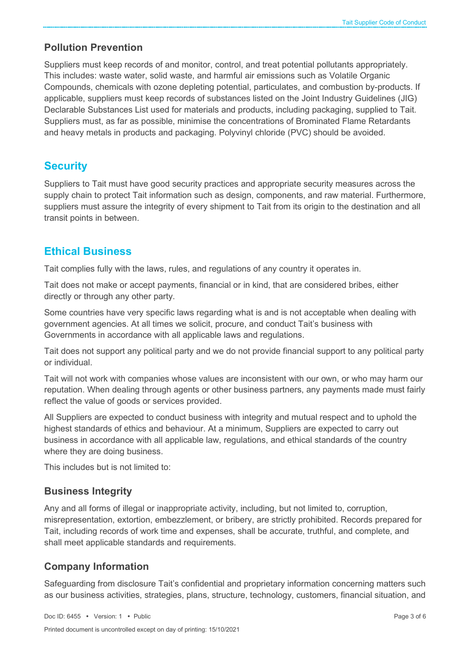#### **Pollution Prevention**

Suppliers must keep records of and monitor, control, and treat potential pollutants appropriately. This includes: waste water, solid waste, and harmful air emissions such as Volatile Organic Compounds, chemicals with ozone depleting potential, particulates, and combustion by-products. If applicable, suppliers must keep records of substances listed on the Joint Industry Guidelines (JIG) Declarable Substances List used for materials and products, including packaging, supplied to Tait. Suppliers must, as far as possible, minimise the concentrations of Brominated Flame Retardants and heavy metals in products and packaging. Polyvinyl chloride (PVC) should be avoided.

## **Security**

Suppliers to Tait must have good security practices and appropriate security measures across the supply chain to protect Tait information such as design, components, and raw material. Furthermore, suppliers must assure the integrity of every shipment to Tait from its origin to the destination and all transit points in between.

## **Ethical Business**

Tait complies fully with the laws, rules, and regulations of any country it operates in.

Tait does not make or accept payments, financial or in kind, that are considered bribes, either directly or through any other party.

Some countries have very specific laws regarding what is and is not acceptable when dealing with government agencies. At all times we solicit, procure, and conduct Tait's business with Governments in accordance with all applicable laws and regulations.

Tait does not support any political party and we do not provide financial support to any political party or individual.

Tait will not work with companies whose values are inconsistent with our own, or who may harm our reputation. When dealing through agents or other business partners, any payments made must fairly reflect the value of goods or services provided.

All Suppliers are expected to conduct business with integrity and mutual respect and to uphold the highest standards of ethics and behaviour. At a minimum, Suppliers are expected to carry out business in accordance with all applicable law, regulations, and ethical standards of the country where they are doing business.

This includes but is not limited to:

## **Business Integrity**

Any and all forms of illegal or inappropriate activity, including, but not limited to, corruption, misrepresentation, extortion, embezzlement, or bribery, are strictly prohibited. Records prepared for Tait, including records of work time and expenses, shall be accurate, truthful, and complete, and shall meet applicable standards and requirements.

## **Company Information**

Safeguarding from disclosure Tait's confidential and proprietary information concerning matters such as our business activities, strategies, plans, structure, technology, customers, financial situation, and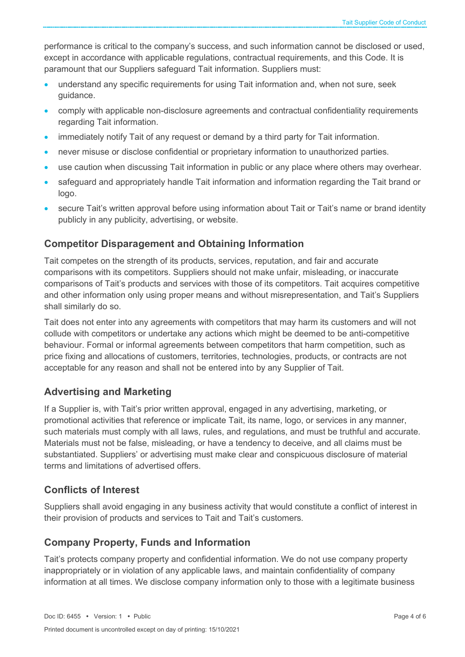performance is critical to the company's success, and such information cannot be disclosed or used, except in accordance with applicable regulations, contractual requirements, and this Code. It is paramount that our Suppliers safeguard Tait information. Suppliers must:

- understand any specific requirements for using Tait information and, when not sure, seek guidance.
- comply with applicable non-disclosure agreements and contractual confidentiality requirements regarding Tait information.
- immediately notify Tait of any request or demand by a third party for Tait information.
- never misuse or disclose confidential or proprietary information to unauthorized parties.
- use caution when discussing Tait information in public or any place where others may overhear.
- safeguard and appropriately handle Tait information and information regarding the Tait brand or logo.
- secure Tait's written approval before using information about Tait or Tait's name or brand identity publicly in any publicity, advertising, or website.

#### **Competitor Disparagement and Obtaining Information**

Tait competes on the strength of its products, services, reputation, and fair and accurate comparisons with its competitors. Suppliers should not make unfair, misleading, or inaccurate comparisons of Tait's products and services with those of its competitors. Tait acquires competitive and other information only using proper means and without misrepresentation, and Tait's Suppliers shall similarly do so.

Tait does not enter into any agreements with competitors that may harm its customers and will not collude with competitors or undertake any actions which might be deemed to be anti-competitive behaviour. Formal or informal agreements between competitors that harm competition, such as price fixing and allocations of customers, territories, technologies, products, or contracts are not acceptable for any reason and shall not be entered into by any Supplier of Tait.

## **Advertising and Marketing**

If a Supplier is, with Tait's prior written approval, engaged in any advertising, marketing, or promotional activities that reference or implicate Tait, its name, logo, or services in any manner, such materials must comply with all laws, rules, and regulations, and must be truthful and accurate. Materials must not be false, misleading, or have a tendency to deceive, and all claims must be substantiated. Suppliers' or advertising must make clear and conspicuous disclosure of material terms and limitations of advertised offers.

## **Conflicts of Interest**

Suppliers shall avoid engaging in any business activity that would constitute a conflict of interest in their provision of products and services to Tait and Tait's customers.

## **Company Property, Funds and Information**

Tait's protects company property and confidential information. We do not use company property inappropriately or in violation of any applicable laws, and maintain confidentiality of company information at all times. We disclose company information only to those with a legitimate business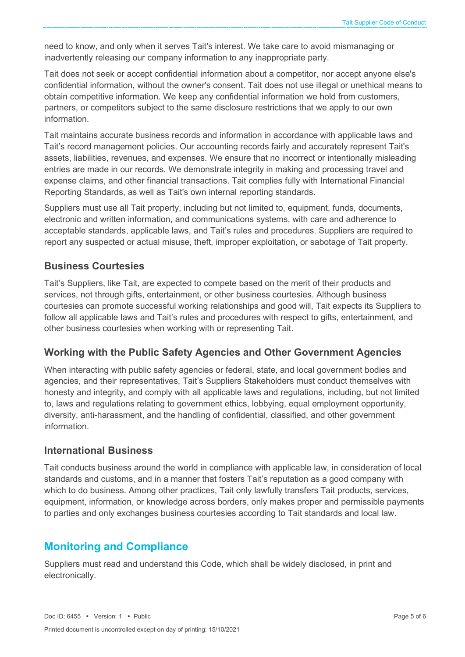need to know, and only when it serves Tait's interest. We take care to avoid mismanaging or inadvertently releasing our company information to any inappropriate party.

Tait does not seek or accept confidential information about a competitor, nor accept anyone else's confidential information, without the owner's consent. Tait does not use illegal or unethical means to obtain competitive information. We keep any confidential information we hold from customers, partners, or competitors subject to the same disclosure restrictions that we apply to our own information.

Tait maintains accurate business records and information in accordance with applicable laws and Tait's record management policies. Our accounting records fairly and accurately represent Tait's assets, liabilities, revenues, and expenses. We ensure that no incorrect or intentionally misleading entries are made in our records. We demonstrate integrity in making and processing travel and expense claims, and other financial transactions. Tait complies fully with International Financial Reporting Standards, as well as Tait's own internal reporting standards.

Suppliers must use all Tait property, including but not limited to, equipment, funds, documents, electronic and written information, and communications systems, with care and adherence to acceptable standards, applicable laws, and Tait's rules and procedures. Suppliers are required to report any suspected or actual misuse, theft, improper exploitation, or sabotage of Tait property.

#### **Business Courtesies**

Tait's Suppliers, like Tait, are expected to compete based on the merit of their products and services, not through gifts, entertainment, or other business courtesies. Although business courtesies can promote successful working relationships and good will, Tait expects its Suppliers to follow all applicable laws and Tait's rules and procedures with respect to gifts, entertainment, and other business courtesies when working with or representing Tait.

## **Working with the Public Safety Agencies and Other Government Agencies**

When interacting with public safety agencies or federal, state, and local government bodies and agencies, and their representatives, Tait's Suppliers Stakeholders must conduct themselves with honesty and integrity, and comply with all applicable laws and regulations, including, but not limited to, laws and regulations relating to government ethics, lobbying, equal employment opportunity, diversity, anti-harassment, and the handling of confidential, classified, and other government information.

#### **International Business**

Tait conducts business around the world in compliance with applicable law, in consideration of local standards and customs, and in a manner that fosters Tait's reputation as a good company with which to do business. Among other practices, Tait only lawfully transfers Tait products, services, equipment, information, or knowledge across borders, only makes proper and permissible payments to parties and only exchanges business courtesies according to Tait standards and local law.

## **Monitoring and Compliance**

Suppliers must read and understand this Code, which shall be widely disclosed, in print and electronically.